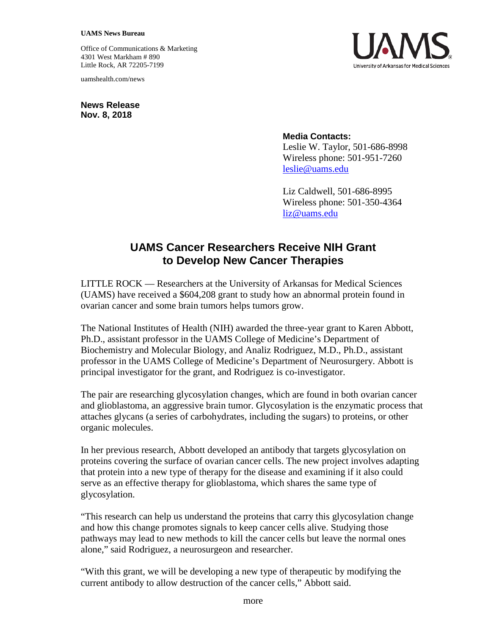## **UAMS News Bureau**

Office of Communications & Marketing 4301 West Markham # 890 Little Rock, AR 72205-7199

uamshealth.com/news

**News Release Nov. 8, 2018**

## **Media Contacts:**

Leslie W. Taylor, 501-686-8998 Wireless phone: 501-951-7260 [leslie@uams.edu](mailto:leslie@uams.edu)

Liz Caldwell, 501-686-8995 Wireless phone: 501-350-4364 [liz@uams.edu](mailto:liz@uams.edu)

## **UAMS Cancer Researchers Receive NIH Grant to Develop New Cancer Therapies**

LITTLE ROCK — Researchers at the University of Arkansas for Medical Sciences (UAMS) have received a \$604,208 grant to study how an abnormal protein found in ovarian cancer and some brain tumors helps tumors grow.

The National Institutes of Health (NIH) awarded the three-year grant to Karen Abbott, Ph.D., assistant professor in the UAMS College of Medicine's Department of Biochemistry and Molecular Biology, and Analiz Rodriguez, M.D., Ph.D., assistant professor in the UAMS College of Medicine's Department of Neurosurgery. Abbott is principal investigator for the grant, and Rodriguez is co-investigator.

The pair are researching glycosylation changes, which are found in both ovarian cancer and glioblastoma, an aggressive brain tumor. Glycosylation is the enzymatic process that attaches glycans (a series of carbohydrates, including the sugars) to proteins, or other organic molecules.

In her previous research, Abbott developed an antibody that targets glycosylation on proteins covering the surface of ovarian cancer cells. The new project involves adapting that protein into a new type of therapy for the disease and examining if it also could serve as an effective therapy for glioblastoma, which shares the same type of glycosylation.

"This research can help us understand the proteins that carry this glycosylation change and how this change promotes signals to keep cancer cells alive. Studying those pathways may lead to new methods to kill the cancer cells but leave the normal ones alone," said Rodriguez, a neurosurgeon and researcher.

"With this grant, we will be developing a new type of therapeutic by modifying the current antibody to allow destruction of the cancer cells," Abbott said.